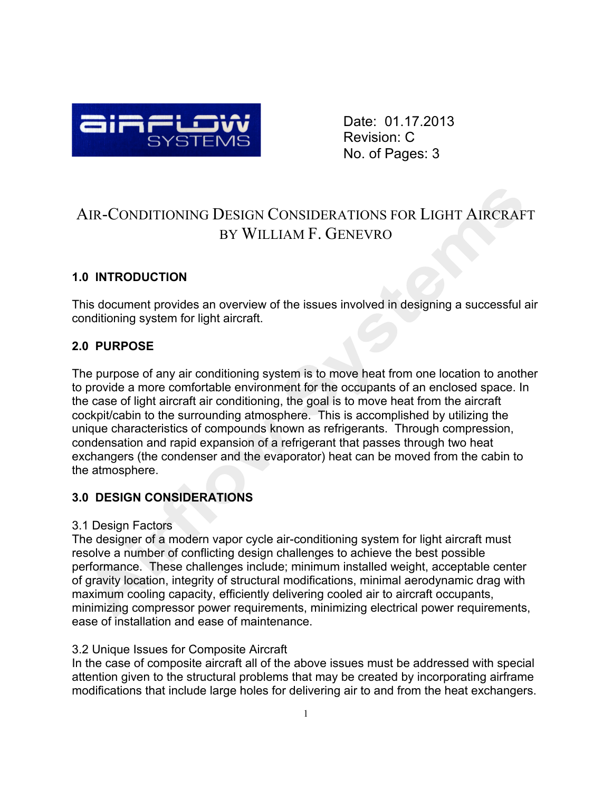

Date: 01.17.2013 Revision: C No. of Pages: 3

# AIR-CONDITIONING DESIGN CONSIDERATIONS FOR LIGHT AIRCRAFT BY WILLIAM F. GENEVRO

# **1.0 INTRODUCTION**

This document provides an overview of the issues involved in designing a successful air conditioning system for light aircraft.

# **2.0 PURPOSE**

The purpose of any air conditioning system is to move heat from one location to another to provide a more comfortable environment for the occupants of an enclosed space. In the case of light aircraft air conditioning, the goal is to move heat from the aircraft cockpit/cabin to the surrounding atmosphere. This is accomplished by utilizing the unique characteristics of compounds known as refrigerants. Through compression, condensation and rapid expansion of a refrigerant that passes through two heat exchangers (the condenser and the evaporator) heat can be moved from the cabin to the atmosphere.

# **3.0 DESIGN CONSIDERATIONS**

## 3.1 Design Factors

The designer of a modern vapor cycle air-conditioning system for light aircraft must resolve a number of conflicting design challenges to achieve the best possible performance. These challenges include; minimum installed weight, acceptable center of gravity location, integrity of structural modifications, minimal aerodynamic drag with maximum cooling capacity, efficiently delivering cooled air to aircraft occupants, minimizing compressor power requirements, minimizing electrical power requirements, ease of installation and ease of maintenance.

# 3.2 Unique Issues for Composite Aircraft

In the case of composite aircraft all of the above issues must be addressed with special attention given to the structural problems that may be created by incorporating airframe modifications that include large holes for delivering air to and from the heat exchangers.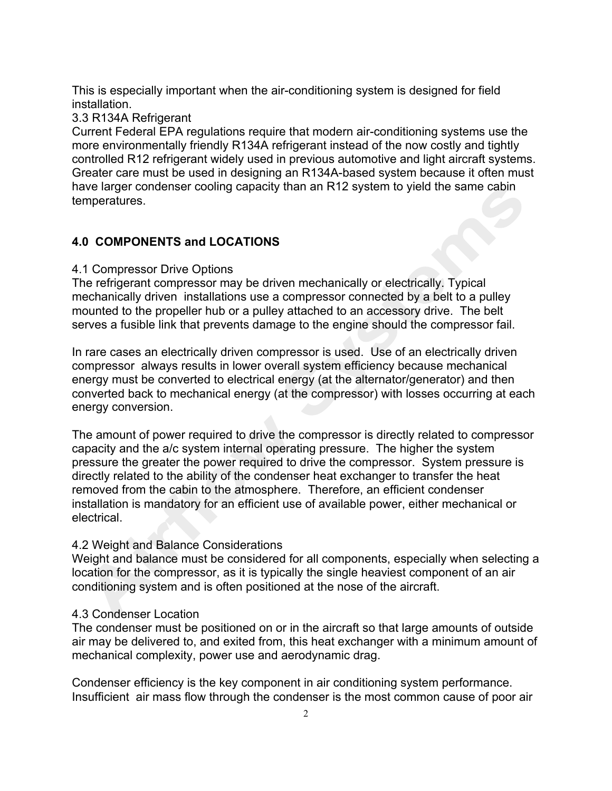This is especially important when the air-conditioning system is designed for field installation.

#### 3.3 R134A Refrigerant

Current Federal EPA regulations require that modern air-conditioning systems use the more environmentally friendly R134A refrigerant instead of the now costly and tightly controlled R12 refrigerant widely used in previous automotive and light aircraft systems. Greater care must be used in designing an R134A-based system because it often must have larger condenser cooling capacity than an R12 system to yield the same cabin temperatures.

## **4.0 COMPONENTS and LOCATIONS**

#### 4.1 Compressor Drive Options

The refrigerant compressor may be driven mechanically or electrically. Typical mechanically driven installations use a compressor connected by a belt to a pulley mounted to the propeller hub or a pulley attached to an accessory drive. The belt serves a fusible link that prevents damage to the engine should the compressor fail.

In rare cases an electrically driven compressor is used. Use of an electrically driven compressor always results in lower overall system efficiency because mechanical energy must be converted to electrical energy (at the alternator/generator) and then converted back to mechanical energy (at the compressor) with losses occurring at each energy conversion.

The amount of power required to drive the compressor is directly related to compressor capacity and the a/c system internal operating pressure. The higher the system pressure the greater the power required to drive the compressor. System pressure is directly related to the ability of the condenser heat exchanger to transfer the heat removed from the cabin to the atmosphere. Therefore, an efficient condenser installation is mandatory for an efficient use of available power, either mechanical or electrical.

## 4.2 Weight and Balance Considerations

Weight and balance must be considered for all components, especially when selecting a location for the compressor, as it is typically the single heaviest component of an air conditioning system and is often positioned at the nose of the aircraft.

#### 4.3 Condenser Location

The condenser must be positioned on or in the aircraft so that large amounts of outside air may be delivered to, and exited from, this heat exchanger with a minimum amount of mechanical complexity, power use and aerodynamic drag.

Condenser efficiency is the key component in air conditioning system performance. Insufficient air mass flow through the condenser is the most common cause of poor air